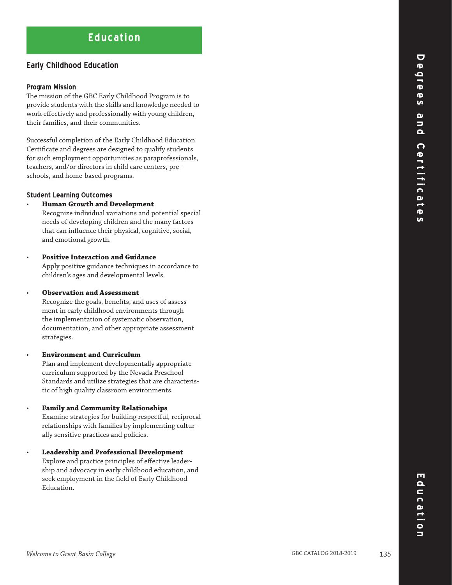# **Education**

# **Early Childhood Education**

#### **Program Mission**

The mission of the GBC Early Childhood Program is to provide students with the skills and knowledge needed to work effectively and professionally with young children, their families, and their communities.

Successful completion of the Early Childhood Education Certificate and degrees are designed to qualify students for such employment opportunities as paraprofessionals, teachers, and/or directors in child care centers, preschools, and home-based programs.

## **Student Learning Outcomes**

• **Human Growth and Development**

 Recognize individual variations and potential special needs of developing children and the many factors that can influence their physical, cognitive, social, and emotional growth.

## • **Positive Interaction and Guidance**

 Apply positive guidance techniques in accordance to children's ages and developmental levels.

#### • **Observation and Assessment**

Recognize the goals, benefits, and uses of assessment in early childhood environments through the implementation of systematic observation, documentation, and other appropriate assessment strategies.

# • **Environment and Curriculum**

 Plan and implement developmentally appropriate curriculum supported by the Nevada Preschool Standards and utilize strategies that are characteristic of high quality classroom environments.

#### • **Family and Community Relationships**

 Examine strategies for building respectful, reciprocal relationships with families by implementing culturally sensitive practices and policies.

#### • **Leadership and Professional Development** Explore and practice principles of effective leadership and advocacy in early childhood education, and seek employment in the field of Early Childhood Education.

 $\overline{\mathbf{C}}$